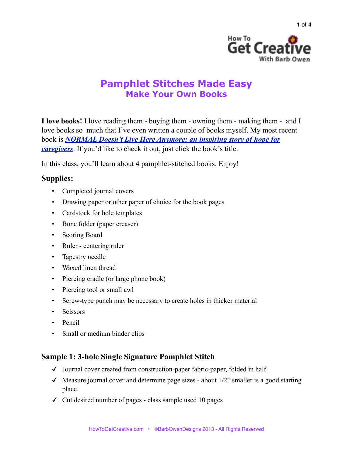

1 of 4

# **Pamphlet Stitches Made Easy Make Your Own Books**

**I love books!** I love reading them - buying them - owning them - making them - and I love books so much that I've even written a couple of books myself. My most recent book is *[NORMAL Doesn't Live Here Anymore: an inspiring story of hope for](http://www.amazon.com/NORMAL-Doesnt-Live-Here-Anymore/dp/1456474294/ref=sr_1_1?ie=UTF8&qid=1366254714&sr=8-1&keywords=normal+doesn%2527t+live+here+anymore)  [caregivers](http://www.amazon.com/NORMAL-Doesnt-Live-Here-Anymore/dp/1456474294/ref=sr_1_1?ie=UTF8&qid=1366254714&sr=8-1&keywords=normal+doesn%2527t+live+here+anymore)*. If you'd like to check it out, just click the book's title.

In this class, you'll learn about 4 pamphlet-stitched books. Enjoy!

# **Supplies:**

- Completed journal covers
- Drawing paper or other paper of choice for the book pages
- Cardstock for hole templates
- Bone folder (paper creaser)
- Scoring Board
- Ruler centering ruler
- Tapestry needle
- Waxed linen thread
- Piercing cradle (or large phone book)
- Piercing tool or small awl
- Screw-type punch may be necessary to create holes in thicker material
- Scissors
- Pencil
- Small or medium binder clips

# **Sample 1: 3-hole Single Signature Pamphlet Stitch**

- ✓ Journal cover created from construction-paper fabric-paper, folded in half
- $\checkmark$  Measure journal cover and determine page sizes about 1/2" smaller is a good starting place.
- $\checkmark$  Cut desired number of pages class sample used 10 pages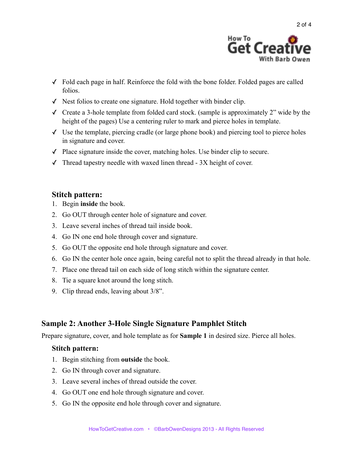

- ✓ Fold each page in half. Reinforce the fold with the bone folder. Folded pages are called folios.
- ✓ Nest folios to create one signature. Hold together with binder clip.
- $\checkmark$  Create a 3-hole template from folded card stock. (sample is approximately 2" wide by the height of the pages) Use a centering ruler to mark and pierce holes in template.
- $\checkmark$  Use the template, piercing cradle (or large phone book) and piercing tool to pierce holes in signature and cover.
- ✓ Place signature inside the cover, matching holes. Use binder clip to secure.
- $\checkmark$  Thread tapestry needle with waxed linen thread 3X height of cover.

### **Stitch pattern:**

- 1. Begin **inside** the book.
- 2. Go OUT through center hole of signature and cover.
- 3. Leave several inches of thread tail inside book.
- 4. Go IN one end hole through cover and signature.
- 5. Go OUT the opposite end hole through signature and cover.
- 6. Go IN the center hole once again, being careful not to split the thread already in that hole.
- 7. Place one thread tail on each side of long stitch within the signature center.
- 8. Tie a square knot around the long stitch.
- 9. Clip thread ends, leaving about 3/8".

### **Sample 2: Another 3-Hole Single Signature Pamphlet Stitch**

Prepare signature, cover, and hole template as for **Sample 1** in desired size. Pierce all holes.

#### **Stitch pattern:**

- 1. Begin stitching from **outside** the book.
- 2. Go IN through cover and signature.
- 3. Leave several inches of thread outside the cover.
- 4. Go OUT one end hole through signature and cover.
- 5. Go IN the opposite end hole through cover and signature.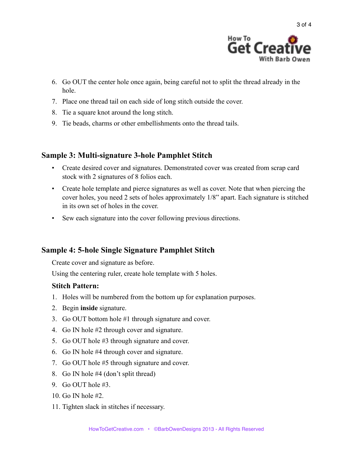

- 6. Go OUT the center hole once again, being careful not to split the thread already in the hole.
- 7. Place one thread tail on each side of long stitch outside the cover.
- 8. Tie a square knot around the long stitch.
- 9. Tie beads, charms or other embellishments onto the thread tails.

### **Sample 3: Multi-signature 3-hole Pamphlet Stitch**

- Create desired cover and signatures. Demonstrated cover was created from scrap card stock with 2 signatures of 8 folios each.
- Create hole template and pierce signatures as well as cover. Note that when piercing the cover holes, you need 2 sets of holes approximately 1/8" apart. Each signature is stitched in its own set of holes in the cover.
- Sew each signature into the cover following previous directions.

# **Sample 4: 5-hole Single Signature Pamphlet Stitch**

Create cover and signature as before.

Using the centering ruler, create hole template with 5 holes.

### **Stitch Pattern:**

- 1. Holes will be numbered from the bottom up for explanation purposes.
- 2. Begin **inside** signature.
- 3. Go OUT bottom hole #1 through signature and cover.
- 4. Go IN hole #2 through cover and signature.
- 5. Go OUT hole #3 through signature and cover.
- 6. Go IN hole #4 through cover and signature.
- 7. Go OUT hole #5 through signature and cover.
- 8. Go IN hole #4 (don't split thread)
- 9. Go OUT hole #3.
- 10. Go IN hole #2.
- 11. Tighten slack in stitches if necessary.